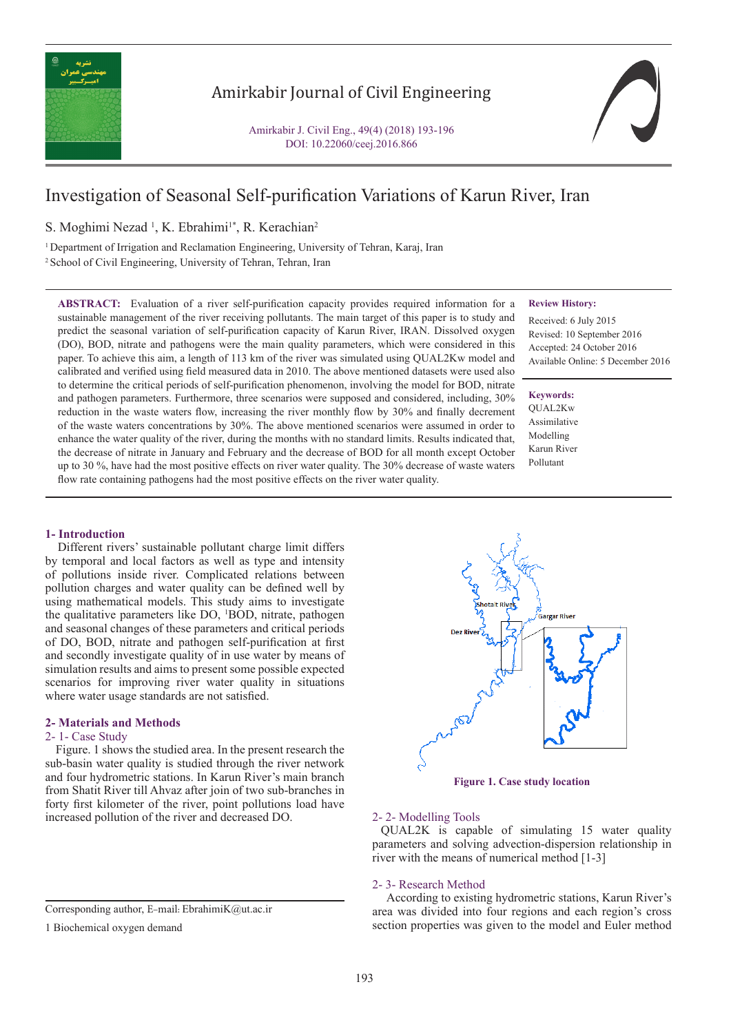

# Amirkabir Journal of Civil Engineering

Amirkabir J. Civil Eng., 49(4) (2018) 193-196 DOI: 10.22060/ceej.2016.866

# Investigation of Seasonal Self-purification Variations of Karun River, Iran

S. Moghimi Nezad<sup>1</sup>, K. Ebrahimi<sup>1\*</sup>, R. Kerachian<sup>2</sup>

<sup>1</sup> Department of Irrigation and Reclamation Engineering, University of Tehran, Karaj, Iran <sup>2</sup> School of Civil Engineering, University of Tehran, Tehran, Iran

**ABSTRACT:** Evaluation of a river self-purification capacity provides required information for a sustainable management of the river receiving pollutants. The main target of this paper is to study and predict the seasonal variation of self-purification capacity of Karun River, IRAN. Dissolved oxygen (DO), BOD, nitrate and pathogens were the main quality parameters, which were considered in this paper. To achieve this aim, a length of 113 km of the river was simulated using QUAL2Kw model and calibrated and verified using field measured data in 2010. The above mentioned datasets were used also to determine the critical periods of self-purification phenomenon, involving the model for BOD, nitrate and pathogen parameters. Furthermore, three scenarios were supposed and considered, including, 30% reduction in the waste waters flow, increasing the river monthly flow by 30% and finally decrement of the waste waters concentrations by 30%. The above mentioned scenarios were assumed in order to enhance the water quality of the river, during the months with no standard limits. Results indicated that, the decrease of nitrate in January and February and the decrease of BOD for all month except October up to 30 %, have had the most positive effects on river water quality. The 30% decrease of waste waters flow rate containing pathogens had the most positive effects on the river water quality.

## **Review History:**

Received: 6 July 2015 Revised: 10 September 2016 Accepted: 24 October 2016 Available Online: 5 December 2016

**Keywords:** QUAL2Kw Assimilative Modelling Karun River Pollutant

# **1- Introduction**

 Different rivers' sustainable pollutant charge limit differs by temporal and local factors as well as type and intensity of pollutions inside river. Complicated relations between pollution charges and water quality can be defined well by using mathematical models. This study aims to investigate the qualitative parameters like DO, <sup>1</sup> BOD, nitrate, pathogen and seasonal changes of these parameters and critical periods of DO, BOD, nitrate and pathogen self-purification at first and secondly investigate quality of in use water by means of simulation results and aims to present some possible expected scenarios for improving river water quality in situations where water usage standards are not satisfied.

# **2- Materials and Methods**

# 2- 1- Case Study

 Figure. 1 shows the studied area. In the present research the sub-basin water quality is studied through the river network and four hydrometric stations. In Karun River's main branch from Shatit River till Ahvaz after join of two sub-branches in forty first kilometer of the river, point pollutions load have increased pollution of the river and decreased DO.

1 Biochemical oxygen demand





#### 2- 2- Modelling Tools

 QUAL2K is capable of simulating 15 water quality parameters and solving advection-dispersion relationship in river with the means of numerical method [1-3]

# 2- 3- Research Method

 According to existing hydrometric stations, Karun River's area was divided into four regions and each region's cross section properties was given to the model and Euler method

Corresponding author, E-mail: EbrahimiK@ut.ac.ir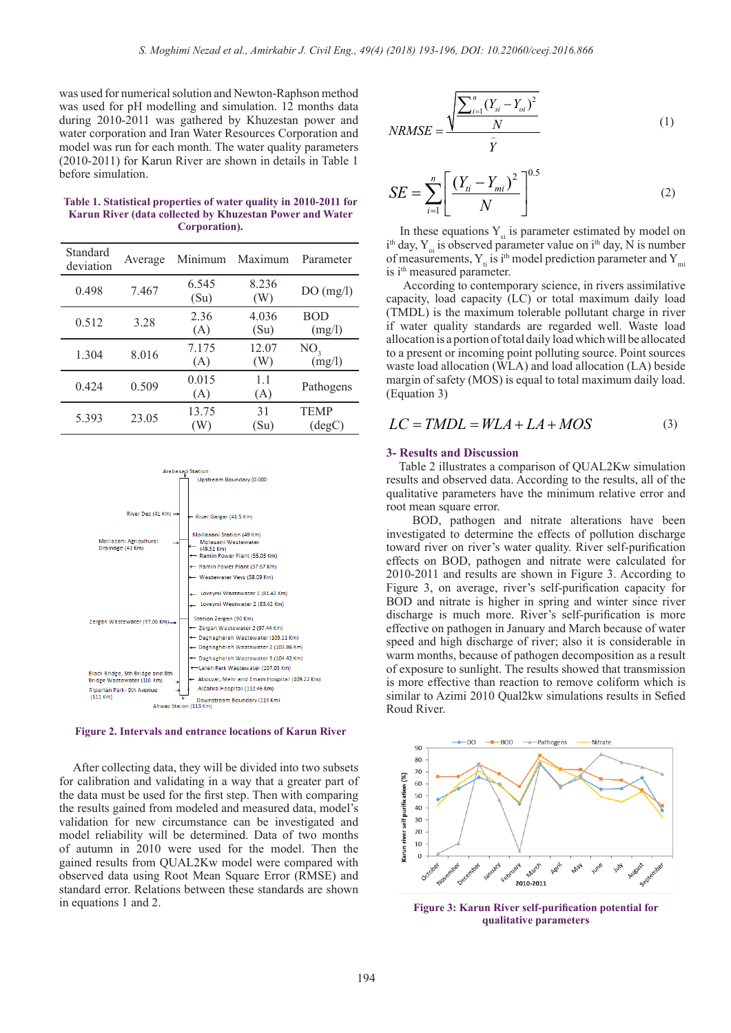was used for numerical solution and Newton-Raphson method was used for pH modelling and simulation. 12 months data during 2010-2011 was gathered by Khuzestan power and water corporation and Iran Water Resources Corporation and model was run for each month. The water quality parameters (2010-2011) for Karun River are shown in details in Table 1 before simulation.

**Table 1. Statistical properties of water quality in 2010-2011 for Karun River (data collected by Khuzestan Power and Water Corporation).**

| Standard<br>deviation | Average | Minimum       | Maximum                    | Parameter                      |
|-----------------------|---------|---------------|----------------------------|--------------------------------|
| 0.498                 | 7.467   | 6.545<br>(Su) | 8.236<br>(W)               | DO(mg/l)                       |
| 0.512                 | 3.28    | 2.36<br>(A)   | 4.036<br>(S <sub>u</sub> ) | <b>BOD</b><br>(mg/l)           |
| 1.304                 | 8.016   | 7.175<br>(A)  | 12.07<br>W)                | NO <sub>3</sub><br>(mg/l)      |
| 0.424                 | 0.509   | 0.015<br>(A)  | 11<br>(A)                  | Pathogens                      |
| 5.393                 | 23.05   | 13.75<br>W    | 31<br>(Su)                 | <b>TEMP</b><br>$(\text{deg}C)$ |



**Figure 2. Intervals and entrance locations of Karun River**

 After collecting data, they will be divided into two subsets for calibration and validating in a way that a greater part of the data must be used for the first step. Then with comparing the results gained from modeled and measured data, model's validation for new circumstance can be investigated and model reliability will be determined. Data of two months of autumn in 2010 were used for the model. Then the gained results from QUAL2Kw model were compared with observed data using Root Mean Square Error (RMSE) and standard error. Relations between these standards are shown in equations 1 and 2.

$$
NRMSE = \frac{\sqrt{\frac{\sum_{i=1}^{n} (Y_{si} - Y_{oi})^2}{N}}}{\bar{Y}}
$$
 (1)

$$
SE = \sum_{i=1}^{n} \left[ \frac{(Y_{ii} - Y_{mi})^2}{N} \right]^{0.5}
$$
 (2)

In these equations  $Y_{si}$  is parameter estimated by model on  $i<sup>th</sup>$  day, Y<sub>oi</sub> is observed parameter value on  $i<sup>th</sup>$  day, N is number of measurements,  $Y_{ti}$  is i<sup>th</sup> model prediction parameter and  $Y_{mi}$ is i<sup>th</sup> measured parameter.

 According to contemporary science, in rivers assimilative capacity, load capacity (LC) or total maximum daily load (TMDL) is the maximum tolerable pollutant charge in river if water quality standards are regarded well. Waste load allocation is a portion of total daily load which will be allocated to a present or incoming point polluting source. Point sources waste load allocation (WLA) and load allocation (LA) beside margin of safety (MOS) is equal to total maximum daily load. (Equation 3)

$$
LC = TMDL = WLA + LA + MOS \tag{3}
$$

## **3- Results and Discussion**

 Table 2 illustrates a comparison of QUAL2Kw simulation results and observed data. According to the results, all of the qualitative parameters have the minimum relative error and root mean square error.

 BOD, pathogen and nitrate alterations have been investigated to determine the effects of pollution discharge toward river on river's water quality. River self-purification effects on BOD, pathogen and nitrate were calculated for 2010-2011 and results are shown in Figure 3. According to Figure 3, on average, river's self-purification capacity for BOD and nitrate is higher in spring and winter since river discharge is much more. River's self-purification is more effective on pathogen in January and March because of water speed and high discharge of river; also it is considerable in warm months, because of pathogen decomposition as a result of exposure to sunlight. The results showed that transmission is more effective than reaction to remove coliform which is similar to Azimi 2010 Qual2kw simulations results in Sefied Roud River.



**Figure 3: Karun River self-purification potential for qualitative parameters**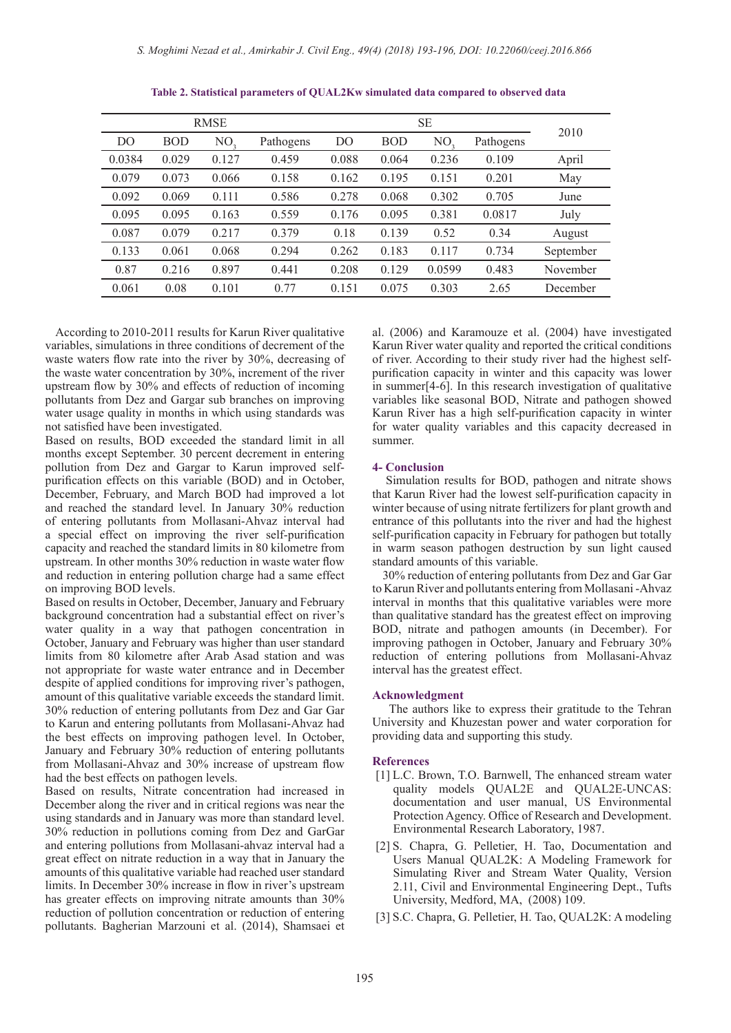| <b>RMSE</b>    |            |       | <b>SE</b> |                |            |        |           |           |
|----------------|------------|-------|-----------|----------------|------------|--------|-----------|-----------|
| D <sub>O</sub> | <b>BOD</b> | NO,   | Pathogens | D <sub>O</sub> | <b>BOD</b> | NO.    | Pathogens | 2010      |
| 0.0384         | 0.029      | 0.127 | 0.459     | 0.088          | 0.064      | 0.236  | 0.109     | April     |
| 0.079          | 0.073      | 0.066 | 0.158     | 0.162          | 0.195      | 0.151  | 0.201     | May       |
| 0.092          | 0.069      | 0.111 | 0.586     | 0.278          | 0.068      | 0.302  | 0.705     | June      |
| 0.095          | 0.095      | 0.163 | 0.559     | 0.176          | 0.095      | 0.381  | 0.0817    | July      |
| 0.087          | 0.079      | 0.217 | 0.379     | 0.18           | 0.139      | 0.52   | 0.34      | August    |
| 0.133          | 0.061      | 0.068 | 0.294     | 0.262          | 0.183      | 0.117  | 0.734     | September |
| 0.87           | 0.216      | 0.897 | 0.441     | 0.208          | 0.129      | 0.0599 | 0.483     | November  |
| 0.061          | 0.08       | 0.101 | 0.77      | 0.151          | 0.075      | 0.303  | 2.65      | December  |

| Table 2. Statistical parameters of QUAL2Kw simulated data compared to observed data |  |  |  |
|-------------------------------------------------------------------------------------|--|--|--|
|-------------------------------------------------------------------------------------|--|--|--|

 According to 2010-2011 results for Karun River qualitative variables, simulations in three conditions of decrement of the waste waters flow rate into the river by 30%, decreasing of the waste water concentration by 30%, increment of the river upstream flow by 30% and effects of reduction of incoming pollutants from Dez and Gargar sub branches on improving water usage quality in months in which using standards was not satisfied have been investigated.

Based on results, BOD exceeded the standard limit in all months except September. 30 percent decrement in entering pollution from Dez and Gargar to Karun improved selfpurification effects on this variable (BOD) and in October, December, February, and March BOD had improved a lot and reached the standard level. In January 30% reduction of entering pollutants from Mollasani-Ahvaz interval had a special effect on improving the river self-purification capacity and reached the standard limits in 80 kilometre from upstream. In other months 30% reduction in waste water flow and reduction in entering pollution charge had a same effect on improving BOD levels.

Based on results in October, December, January and February background concentration had a substantial effect on river's water quality in a way that pathogen concentration in October, January and February was higher than user standard limits from 80 kilometre after Arab Asad station and was not appropriate for waste water entrance and in December despite of applied conditions for improving river's pathogen, amount of this qualitative variable exceeds the standard limit. 30% reduction of entering pollutants from Dez and Gar Gar to Karun and entering pollutants from Mollasani-Ahvaz had the best effects on improving pathogen level. In October, January and February 30% reduction of entering pollutants from Mollasani-Ahvaz and 30% increase of upstream flow had the best effects on pathogen levels.

Based on results, Nitrate concentration had increased in December along the river and in critical regions was near the using standards and in January was more than standard level. 30% reduction in pollutions coming from Dez and GarGar and entering pollutions from Mollasani-ahvaz interval had a great effect on nitrate reduction in a way that in January the amounts of this qualitative variable had reached user standard limits. In December 30% increase in flow in river's upstream has greater effects on improving nitrate amounts than  $30\%$ reduction of pollution concentration or reduction of entering pollutants. Bagherian Marzouni et al. (2014), Shamsaei et al. (2006) and Karamouze et al. (2004) have investigated Karun River water quality and reported the critical conditions of river. According to their study river had the highest selfpurification capacity in winter and this capacity was lower in summer[4-6]. In this research investigation of qualitative variables like seasonal BOD, Nitrate and pathogen showed Karun River has a high self-purification capacity in winter for water quality variables and this capacity decreased in summer.

#### **4- Conclusion**

 Simulation results for BOD, pathogen and nitrate shows that Karun River had the lowest self-purification capacity in winter because of using nitrate fertilizers for plant growth and entrance of this pollutants into the river and had the highest self-purification capacity in February for pathogen but totally in warm season pathogen destruction by sun light caused standard amounts of this variable.

 30% reduction of entering pollutants from Dez and Gar Gar to Karun River and pollutants entering from Mollasani -Ahvaz interval in months that this qualitative variables were more than qualitative standard has the greatest effect on improving BOD, nitrate and pathogen amounts (in December). For improving pathogen in October, January and February 30% reduction of entering pollutions from Mollasani-Ahvaz interval has the greatest effect.

# **Acknowledgment**

 The authors like to express their gratitude to the Tehran University and Khuzestan power and water corporation for providing data and supporting this study.

#### **References**

- [1] L.C. Brown, T.O. Barnwell, The enhanced stream water quality models QUAL2E and QUAL2E-UNCAS: documentation and user manual, US Environmental Protection Agency. Office of Research and Development. Environmental Research Laboratory, 1987.
- [2] S. Chapra, G. Pelletier, H. Tao, Documentation and Users Manual QUAL2K: A Modeling Framework for Simulating River and Stream Water Quality, Version 2.11, Civil and Environmental Engineering Dept., Tufts University, Medford, MA, (2008) 109.
- [3] S.C. Chapra, G. Pelletier, H. Tao, QUAL2K: A modeling